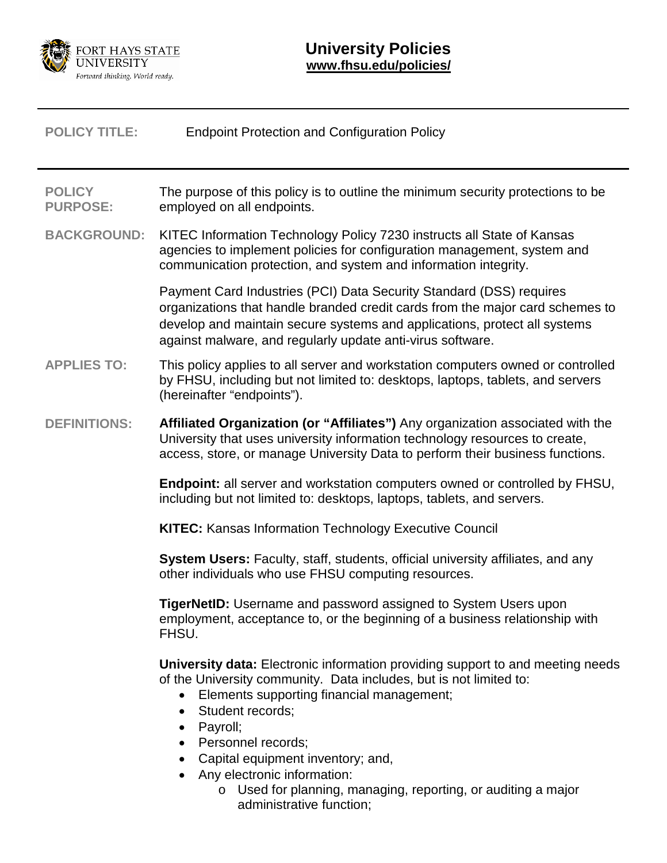

| <b>POLICY TITLE:</b>             | <b>Endpoint Protection and Configuration Policy</b>                                                                                                                                                                                                                                                                                                                                                                                 |
|----------------------------------|-------------------------------------------------------------------------------------------------------------------------------------------------------------------------------------------------------------------------------------------------------------------------------------------------------------------------------------------------------------------------------------------------------------------------------------|
| <b>POLICY</b><br><b>PURPOSE:</b> | The purpose of this policy is to outline the minimum security protections to be<br>employed on all endpoints.                                                                                                                                                                                                                                                                                                                       |
| <b>BACKGROUND:</b>               | KITEC Information Technology Policy 7230 instructs all State of Kansas<br>agencies to implement policies for configuration management, system and<br>communication protection, and system and information integrity.                                                                                                                                                                                                                |
|                                  | Payment Card Industries (PCI) Data Security Standard (DSS) requires<br>organizations that handle branded credit cards from the major card schemes to<br>develop and maintain secure systems and applications, protect all systems<br>against malware, and regularly update anti-virus software.                                                                                                                                     |
| <b>APPLIES TO:</b>               | This policy applies to all server and workstation computers owned or controlled<br>by FHSU, including but not limited to: desktops, laptops, tablets, and servers<br>(hereinafter "endpoints").                                                                                                                                                                                                                                     |
| <b>DEFINITIONS:</b>              | Affiliated Organization (or "Affiliates") Any organization associated with the<br>University that uses university information technology resources to create,<br>access, store, or manage University Data to perform their business functions.                                                                                                                                                                                      |
|                                  | Endpoint: all server and workstation computers owned or controlled by FHSU,<br>including but not limited to: desktops, laptops, tablets, and servers.                                                                                                                                                                                                                                                                               |
|                                  | <b>KITEC: Kansas Information Technology Executive Council</b>                                                                                                                                                                                                                                                                                                                                                                       |
|                                  | System Users: Faculty, staff, students, official university affiliates, and any<br>other individuals who use FHSU computing resources.                                                                                                                                                                                                                                                                                              |
|                                  | TigerNetID: Username and password assigned to System Users upon<br>employment, acceptance to, or the beginning of a business relationship with<br>FHSU.                                                                                                                                                                                                                                                                             |
|                                  | <b>University data:</b> Electronic information providing support to and meeting needs<br>of the University community. Data includes, but is not limited to:<br>Elements supporting financial management;<br>Student records;<br>$\bullet$<br>Payroll;<br>$\bullet$<br>Personnel records;<br>Capital equipment inventory; and,<br>Any electronic information:<br>$\circ$ Used for planning, managing, reporting, or auditing a major |

administrative function;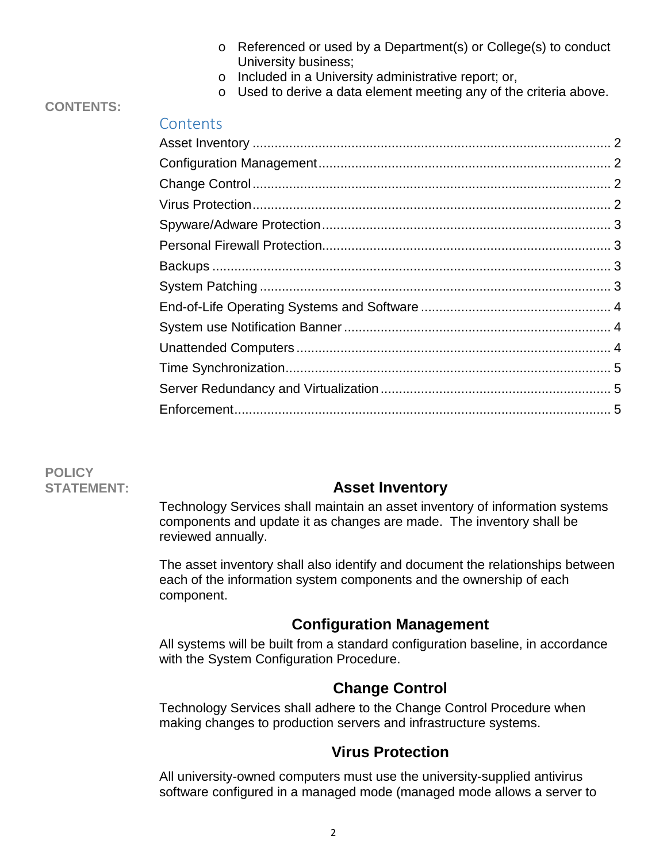- o Referenced or used by a Department(s) or College(s) to conduct University business;
- o Included in a University administrative report; or,
- o Used to derive a data element meeting any of the criteria above.

#### **CONTENTS:**

# **Contents**

**POLICY**

### **STATEMENT: Asset Inventory**

<span id="page-1-0"></span>Technology Services shall maintain an asset inventory of information systems components and update it as changes are made. The inventory shall be reviewed annually.

The asset inventory shall also identify and document the relationships between each of the information system components and the ownership of each component.

### **Configuration Management**

<span id="page-1-1"></span>All systems will be built from a standard configuration baseline, in accordance with the System Configuration Procedure.

# **Change Control**

<span id="page-1-2"></span>Technology Services shall adhere to the Change Control Procedure when making changes to production servers and infrastructure systems.

### **Virus Protection**

<span id="page-1-3"></span>All university-owned computers must use the university-supplied antivirus software configured in a managed mode (managed mode allows a server to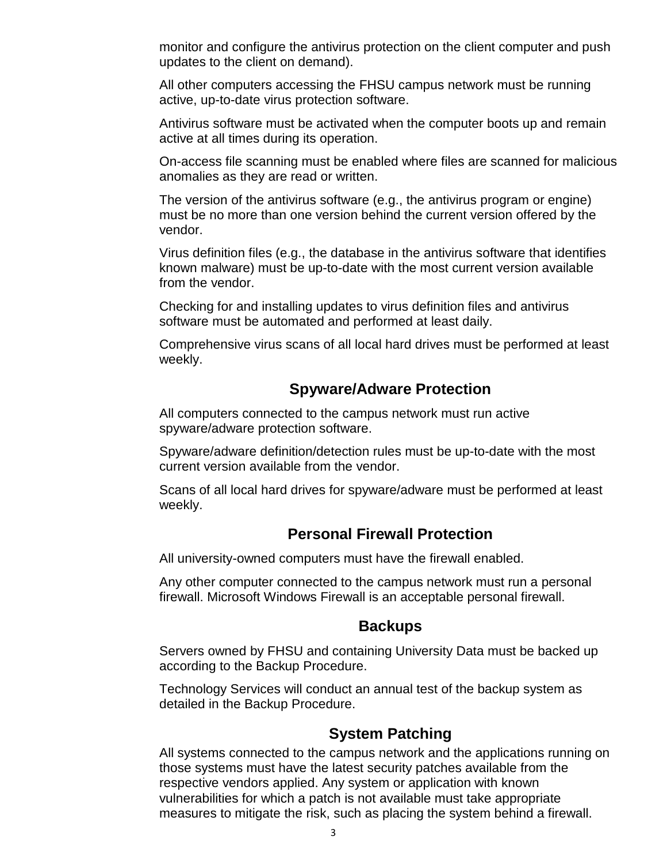monitor and configure the antivirus protection on the client computer and push updates to the client on demand).

All other computers accessing the FHSU campus network must be running active, up-to-date virus protection software.

Antivirus software must be activated when the computer boots up and remain active at all times during its operation.

On-access file scanning must be enabled where files are scanned for malicious anomalies as they are read or written.

The version of the antivirus software (e.g., the antivirus program or engine) must be no more than one version behind the current version offered by the vendor.

Virus definition files (e.g., the database in the antivirus software that identifies known malware) must be up-to-date with the most current version available from the vendor.

Checking for and installing updates to virus definition files and antivirus software must be automated and performed at least daily.

Comprehensive virus scans of all local hard drives must be performed at least weekly.

### **Spyware/Adware Protection**

<span id="page-2-0"></span>All computers connected to the campus network must run active spyware/adware protection software.

Spyware/adware definition/detection rules must be up-to-date with the most current version available from the vendor.

Scans of all local hard drives for spyware/adware must be performed at least weekly.

#### **Personal Firewall Protection**

<span id="page-2-1"></span>All university-owned computers must have the firewall enabled.

Any other computer connected to the campus network must run a personal firewall. Microsoft Windows Firewall is an acceptable personal firewall.

#### **Backups**

<span id="page-2-2"></span>Servers owned by FHSU and containing University Data must be backed up according to the Backup Procedure.

Technology Services will conduct an annual test of the backup system as detailed in the Backup Procedure.

#### **System Patching**

<span id="page-2-3"></span>All systems connected to the campus network and the applications running on those systems must have the latest security patches available from the respective vendors applied. Any system or application with known vulnerabilities for which a patch is not available must take appropriate measures to mitigate the risk, such as placing the system behind a firewall.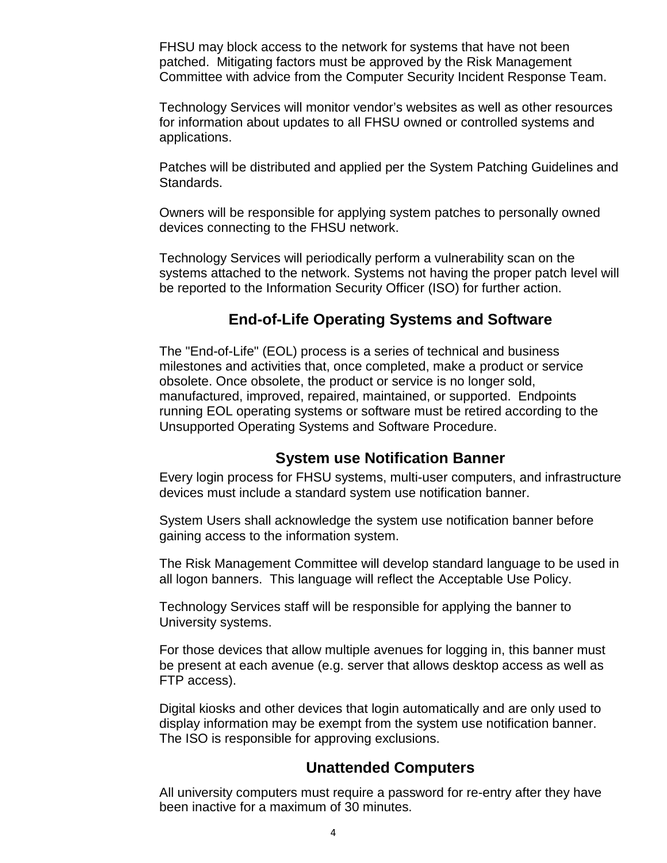FHSU may block access to the network for systems that have not been patched. Mitigating factors must be approved by the Risk Management Committee with advice from the Computer Security Incident Response Team.

Technology Services will monitor vendor's websites as well as other resources for information about updates to all FHSU owned or controlled systems and applications.

Patches will be distributed and applied per the System Patching Guidelines and Standards.

Owners will be responsible for applying system patches to personally owned devices connecting to the FHSU network.

Technology Services will periodically perform a vulnerability scan on the systems attached to the network. Systems not having the proper patch level will be reported to the Information Security Officer (ISO) for further action.

### **End-of-Life Operating Systems and Software**

<span id="page-3-0"></span>The "End-of-Life" (EOL) process is a series of technical and business milestones and activities that, once completed, make a product or service obsolete. Once obsolete, the product or service is no longer sold, manufactured, improved, repaired, maintained, or supported. Endpoints running EOL operating systems or software must be retired according to the Unsupported Operating Systems and Software Procedure.

### **System use Notification Banner**

<span id="page-3-1"></span>Every login process for FHSU systems, multi-user computers, and infrastructure devices must include a standard system use notification banner.

System Users shall acknowledge the system use notification banner before gaining access to the information system.

The Risk Management Committee will develop standard language to be used in all logon banners. This language will reflect the Acceptable Use Policy.

Technology Services staff will be responsible for applying the banner to University systems.

For those devices that allow multiple avenues for logging in, this banner must be present at each avenue (e.g. server that allows desktop access as well as FTP access).

Digital kiosks and other devices that login automatically and are only used to display information may be exempt from the system use notification banner. The ISO is responsible for approving exclusions.

### **Unattended Computers**

<span id="page-3-2"></span>All university computers must require a password for re-entry after they have been inactive for a maximum of 30 minutes.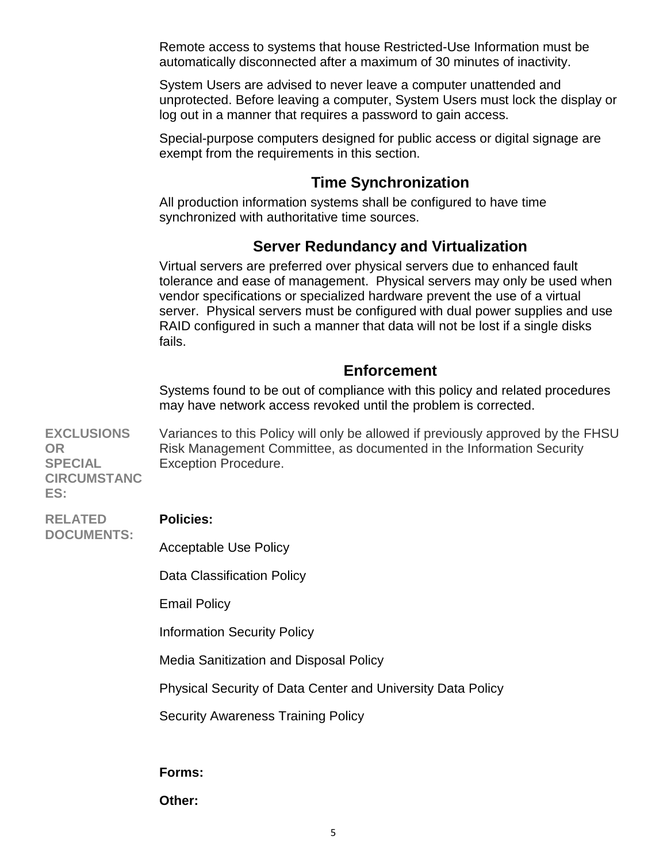Remote access to systems that house Restricted-Use Information must be automatically disconnected after a maximum of 30 minutes of inactivity.

System Users are advised to never leave a computer unattended and unprotected. Before leaving a computer, System Users must lock the display or log out in a manner that requires a password to gain access.

Special-purpose computers designed for public access or digital signage are exempt from the requirements in this section.

### **Time Synchronization**

<span id="page-4-0"></span>All production information systems shall be configured to have time synchronized with authoritative time sources.

# **Server Redundancy and Virtualization**

<span id="page-4-1"></span>Virtual servers are preferred over physical servers due to enhanced fault tolerance and ease of management. Physical servers may only be used when vendor specifications or specialized hardware prevent the use of a virtual server. Physical servers must be configured with dual power supplies and use RAID configured in such a manner that data will not be lost if a single disks fails.

### **Enforcement**

<span id="page-4-2"></span>Systems found to be out of compliance with this policy and related procedures may have network access revoked until the problem is corrected.

**EXCLUSIONS OR SPECIAL** Variances to this Policy will only be allowed if previously approved by the FHSU Risk Management Committee, as documented in the Information Security Exception Procedure.

**CIRCUMSTANC ES:**

**RELATED DOCUMENTS:**

#### **Policies:**

Acceptable Use Policy

Data Classification Policy

Email Policy

Information Security Policy

Media Sanitization and Disposal Policy

Physical Security of Data Center and University Data Policy

Security Awareness Training Policy

**Forms:**

**Other:**